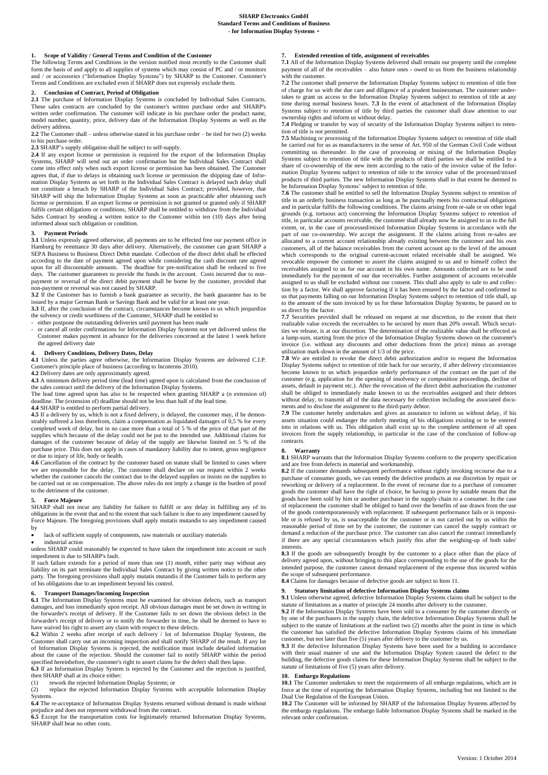**1. Scope of Validity / General Terms and Condition of the Customer** The following Terms and Conditions in the version notified most recently to the Customer shall form the basis of and apply to all supplies of systems which may consist of PC and / or monitors and / or accessories ("Information Display Systems") by SHARP to the Customer. Customer's Terms and Conditions are excluded even if SHARP does not expressly exclude them.

# **2. Conclusion of Contract, Period of Obligation**

**2.1** The purchase of Information Display Systems is concluded by Individual Sales Contracts. These sales contracts are concluded by the customer's written purchase order and SHARP's written order confirmation. The customer will indicate in his purchase order the product name, model number, quantity, price, delivery date of the Information Display Systems as well as the delivery address.

**2.2** The Customer shall – unless otherwise stated in his purchase order – be tied for two (2) weeks to his purchase order.

**2.3** SHARP's supply obligation shall be subject to self-supply.

**2.4** If any export license or permission is required for the export of the Information Display Systems, SHARP will send out an order confirmation but the Individual Sales Contract shall come into effect only when such export license or permission has been obtained. The Customer agrees that, if due to delays in obtaining such license or permission the shipping date of Information Display Systems as set forth in the Individual Sales Contract is delayed such delay shall not constitute a breach by SHARP of the Individual Sales Contract; provided, however, that SHARP will ship the Information Display Systems as soon as practicable after obtaining such license or permission. If an export license or permission is not granted or granted only if SHARP fulfils certain obligations or conditions, SHARP shall be entitled to withdraw from the Individual Sales Contract by sending a written notice to the Customer within ten (10) days after being informed about such obligation or condition.

# **3. Payment Periods**

**3.1** Unless expressly agreed otherwise, all payments are to be effected free our payment office in Hamburg by remittance 30 days after delivery. Alternatively, the customer can grant SHARP a SEPA Business to Business Direct Debit mandate. Collection of the direct debit shall be effected according to the date of payment agreed upon while considering the cash discount rate agreed<br>upon for all discountable amounts. The deadline for pre-notification shall be reduced to five<br>days. The customer guarantees to pr payment or reversal of the direct debit payment shall be borne by the customer, provided that non-payment or reversal was not caused by SHARP.

**3.2** If the Customer has to furnish a bank guarantee as security, the bank guarantee has to be issued by a major German Bank or Savings Bank and be valid for at least one year.

**3.3** If, after the conclusion of the contract, circumstances become known to us which jeopardize the solvency or credit worthiness of the Customer, SHARP shall be entitled to

- either postpone the outstanding deliveries until payment has been made - or cancel all order confirmations for Information Display Systems not yet delivered unless the Customer makes payment in advance for the deliveries concerned at the latest 1 week before the agreed delivery date

**4. Delivery Conditions, Delivery Dates, Delay 4.1** Unless the parties agree otherwise, the Information Display Systems are delivered C.I.P. Customer's principle place of business (according to Incoterms 2010).

**4.2** Delivery dates are only approximately agreed. **4.3** A minimum delivery period time (lead time) agreed upon is calculated from the conclusion of the sales contract until the delivery of the Information Display Systems.

The lead time agreed upon has also to be respected when granting SHARP a (n extension of) deadline. The (extension of) deadline should not be less than half of the lead time.

**4.4** SHARP is entitled to perform partial delivery. **4.5** If a delivery by us, which is not a fixed delivery, is delayed, the customer may, if he demon-strably suffered a loss therefrom, claim a compensation as liquidated damages of 0,5 % for every completed week of delay, but in no case more than a total of 5 % of the price of that part of the supplies which because of the delay could not be put to the intended use. Additional claims for<br>damages of the customer because of delay of the supply are likewise limited on 5 % of the<br>purchase price. This does not apply

or due to injury of life, body or health. **4.6** Cancellation of the contract by the customer based on statute shall be limited to cases where we are responsible for the delay. The customer shall declare on our request within 2 weeks

whether the customer cancels the contract due to the delayed supplies or insists on the supplies to be carried out or on compensation. The above rules do not imply a change in the burden of proof to the detriment of the customer.

# **5. Force Majeure**

SHARP shall not incur any liability for failure to fulfill or any delay in fulfilling any of its obligations in the event that and to the extent that such failure is due to any impediment caused by Force Majeure. The foregoing provisions shall apply mutatis mutandis to any impediment caused by

lack of sufficient supply of components, raw materials or auxiliary materials

industrial action

unless SHARP could reasonably be expected to have taken the impediment into account or such impediment is due to SHARP's fault.

such failure extends for a period of more than one (1) month, either party may without any liability on its part terminate the Individual Sales Contract by giving written notice to the other party. The foregoing provisions shall apply mutatis mutandis if the Customer fails to perform any of his obligations due to an impediment beyond his control.

**6. Transport Damages/Incoming Inspection 6.1** The Information Display Systems must be examined for obvious defects, such as transport damages, and loss immediately upon receipt. All obvious damages must be set down in writing in the forwarder's receipt of delivery. If the Customer fails to set down the obvious defect in the forwarder's receipt of delivery or to notify the forwarder in time, he shall be deemed to have to have waived his right to assert any claim with respect to these defects.

**6.2** Within 2 weeks after receipt of each delivery / lot of Information Display Systems, the Customer shall carry out an incoming inspection and shall notify SHARP of the result. If any lot of Information Display Systems is rejected, the notification must include detailed information about the cause of the rejection. Should the customer fail to notify SHARP within the period specified hereinbefore, the customer's right to assert claims for the defect shall then lapse.

**6.3** If an Information Display System is rejected by the Customer and the rejection is justified, then SHARP shall at its choice either:

(1) rework the rejected Information Display Systems; or replace the rejected Information Display Systems

replace the rejected Information Display Systems with acceptable Information Display Systems.

**6.4** The re-acceptance of Information Display Systems returned without demand is made without prejudice and does not represent withdrawal from the contract.

**6.5** Except for the transportation costs for legitimately returned Information Display Systems, SHARP shall bear no other costs.

**7. Extended retention of title, assignment of receivables 7.1** All of the Information Display Systems delivered shall remain our property until the complete payment of all of the receivables – also future ones - owed to us from the business relationship with the customer.

**7.2** The customer shall preserve the Information Display Systems subject to retention of title free of charge for us with the due care and diligence of a prudent businessman. The customer under-takes to grant us access to the Information Display Systems subject to retention of title at any time during normal business hours. **7.3** In the event of attachment of the Information Display Systems subject to retention of title by third parties the customer shall draw attention to our ownership rights and inform us without delay.

**7.4** Pledging or transfer by way of security of the Information Display Systems subject to retention of title is not permitted.

**7.5** Machining or processing of the Information Display Systems subject to retention of title shall be carried out for us as manufacturers in the sense of Art. 950 of the German Civil Code without committing us thereunder. In the case of processing or mixing of the Information Display Systems subject to retention of title with the products of third parties we shall be entitled to a share of co-ownership of the new item according to the ratio of the invoice value of the Information Display Systems subject to retention of title to the invoice value of the processed/mixed products of third parties. The new Information Display Systems shall to that extent be deemed to be Information Display Systems' subject to retention of title.

**7.6** The customer shall be entitled to sell the Information Display Systems subject to retention of title in an orderly business transaction as long as he punctually meets his contractual obligations and in particular fulfils the following conditions. The claims arising from re-sale or on other legal grounds (e.g. tortuous act) concerning the Information Display Systems subject to retention of title, in particular accounts receivable, the customer shall already now be assigned to us to the full extent, or, in the case of processed/mixed Information Display Systems in accordance with the part of our co-ownership. We accept the assignment. If the claims arising from re-sales are allocated to a current account relationship already existing between the customer and his own customers, all of the balance receivables from the current account up to the level of the amount which corresponds to the original current-account related receivable shall be assigned. We revocable empower the customer to assert the claims assigned to us and to himself collect the receivables assigned to us for our account in his own name. Amounts collected are to be used immediately for the payment of our due receivables. Further assignment of accounts receivable assigned to us shall be excluded without our consent. This shall also apply to sale to and collection by a factor. We shall approve factoring if it has been ensured by the factor and confirmed to us that payments falling on our Information Display Systems subject to retention of title shall, up to the amount of the sum invoiced by us for these Information Display Systems, be passed on to us direct by the factor.

**7.7** Securities provided shall be released on request at our discretion, to the extent that their realizable value exceeds the receivables to be secured by more than 20% overall. Which securities we release, is at our discretion. The determination of the realizable value shall be effected as a lump-sum, starting from the price of the Information Display Systems shown on the customer's invoice (i.e. without any discounts and other deductions from the price) minus an average utilization mark-down in the amount of 1/3 of the price.

**7.8** We are entitled to revoke the direct debit authorization and/or to request the Information Display Systems subject to retention of title back for our security, if after delivery circumstances become known to us which jeopardize orderly performance of the contract on the part of the customer (e.g. application for the opening of insolvency or composition proceedings, decline of assets, default in payment etc.). After the revocation of the direct debit authorization the customer shall be obliged to immediately make known to us the receivables assigned and their debtors without delay, to transmit all of the data necessary for collection including the associated documents and to disclose the assignment to the third-party debtor.

**7.9** The customer hereby undertakes and gives an assurance to inform us without delay, if his assets situation could endanger the orderly meeting of his obligations existing or to be entered into in relations with us. This obligation shall exist up to the complete settlement of all open invoices from the supply relationship, in particular in the case of the conclusion of follow-up contracts.

### **8. Warranty**

**8.1** SHARP warrants that the Information Display Systems conform to the property specification and are free from defects in material and workmanship.

**8.2** If the customer demands subsequent performance without rightly invoking recourse due to a purchase of consumer goods, we can remedy the defective products at our discretion by repair or reworking or delivery of a replacement. In the event of recourse due to a purchase of consumer goods the customer shall have the right of choice, he having to prove by suitable means that the goods have been sold by him or another purchaser in the supply chain to a consumer. In the case of replacement the customer shall be obliged to hand over the benefits of use drawn from the use of the goods contemporaneously with replacement. If subsequent performance fails or is impossible or is refused by us, is unacceptable for the customer or is not carried out by us within the reasonable period of time set by the customer, the customer can cancel the supply contract or demand a reduction of the purchase price. The customer can also cancel the contract immediately if there are any special circumstances which justify this after the weighing-up of both sides' interests.

8.3 If the goods are subsequently brought by the customer to a place other than the place of delivery agreed upon, without bringing to this place corresponding to the use of the goods for the intended purpose, the customer cannot demand replacement of the expense thus incurred within the scope of subsequent performance.

**8.4** Claims for damages because of defective goods are subject to Item 11.

# **9. Statutory limitation of defective Information Display Systems claims**

**9.1** Unless otherwise agreed, defective Information Display Systems claims shall be subject to the statute of limitations as a matter of principle 24 months after delivery to the customer.

**9.2** If the Information Display Systems have been sold to a consumer by the customer directly or by one of the purchasers in the supply chain, the defective Information Display Systems shall be subject to the statute of limitations at the earliest two (2) months after the point in time in which the customer has satisfied the defective Information Display Systems claims of his immediate customer, but not later than five (5) years after delivery to the customer by us.

**9.3** If the defective Information Display Systems have been used for a building in accordance with their usual manner of use and the Information Display System caused the defect to the building, the defective goods claims for these Information Display Systems shall be subject to the statute of limitations of five (5) years after delivery.

### **10. Embargo Regulations**

**10.1** The Customer undertakes to meet the requirements of all embargo regulations, which are in force at the time of exporting the Information Display Systems, including but not limited to the Dual Use Regulation of the European Union.

10.2 The Customer will be informed by SHARP of the Information Display Systems affected by the embargo regulations. The embargo liable Information Display Systems shall be marked in the relevant order confirmation.